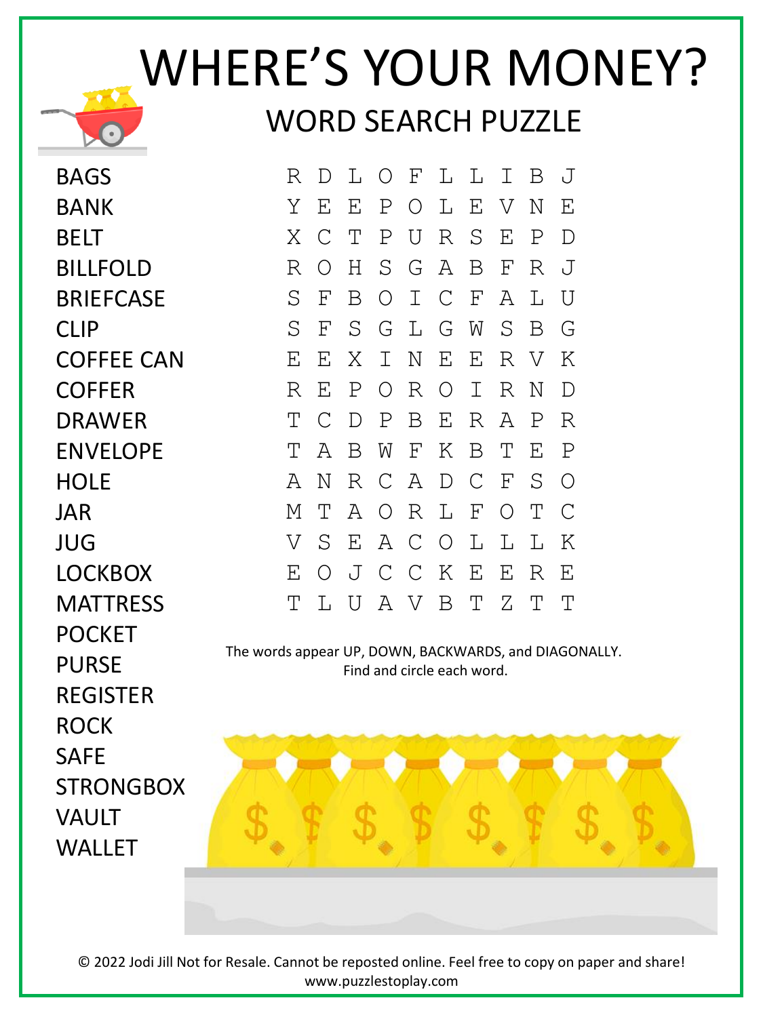## WHERE'S YOUR MONEY? WORD SEARCH PUZZLE

BAGS BANK **BELT** BILLFOLD **BRIFFCASE** CLIP COFFEE CAN COFFER DRAWER ENVELOPE HOLF JAR JUG LOCKBOX **MATTRESS** POCKET PURSE REGISTER ROCK SAFE **STRONGBOX** VAULT **WALLET** 

R D L O F L L I B J Y E E P O L E V N E X C T P U R S E P D R O H S G A B F R J S F B O I C F A L U S F S G L G W S B G E E X I N E E R V K R E P O R O I R N D T C D P B E R A P R T A B W F K B T E P A N R C A D C F S O M T A O R L F O T C V S E A C O L L L K E O J C C K E E R E T L U A V B T Z T T

The words appear UP, DOWN, BACKWARDS, and DIAGONALLY. Find and circle each word.



© 2022 Jodi Jill Not for Resale. Cannot be reposted online. Feel free to copy on paper and share! www.puzzlestoplay.com